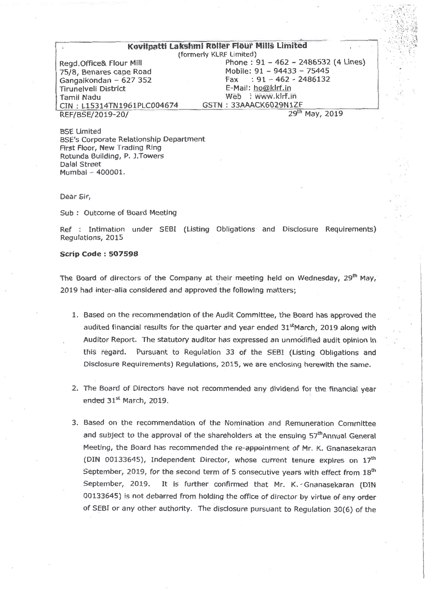## Kovilpatti Lakshmi Roller Flour Mills Limited

Gangaikondan - 627 352 Tirunelveli District E-Mail: hoPkIrf.in CIN : L15314TN1961PLC004674 GSTN : 33AAACK6029N1ZF<br>REF/BSE/2019-20/ 2019 REF/BSE/2019-20/

(formerly KLRF Limited) Regd.Office& Flour Mill Phone : 91 - 462 - 2486532 (4 Lines)<br>
75/8, Benares cape Road Mobile: 91 - 94433 - 75445 Mobile: 91 - 94433 - 75445<br>Fax : 91 - 462 - 2486132 Web : WWW.kirf.in<br>GSTN: 33AAACK6029N1ZF

BSE Limited BSE's Corporate Relationship Department First Floor, New Trading Ring Rotunda Building, P. J.Towers Dalal Street Mumbai - 400001.

Dear Sir,

Sub : Outcome of Board Meeting

Ref : Intimation under SEBI (Listing Obligations and Disclosure Requirements) Regulations, 2015

#### Scrip Code: 507598

The Board of directors of the Company at their meeting held on Wednesday,  $29<sup>th</sup>$  May, 2019 had inter-alla considered and approved the following matters;

- 1. Based on the recommendation of the Audit Committee, the Board has approved the audited financial results for the quarter and year ended 31<sup>st</sup>March, 2019 along with Auditor Report. The statutory auditor has expressed an unmodified audit opinion in thiS regard. Pursuant to Regulation 33 of the SEBI (Listing Obligations and Disclosure Requirements) Regulations, 2015, we are enclosing herewith the same.
- 2. The Board of Directors have not recommended any dividend for the financial year ended 31st March, 2019.
- 3. Based on the recommendation of the Nomination and Remuneration Committee and subject to the approval of the shareholders at the ensuing 57<sup>th</sup>Annual General Meeting, the Board has recommended the re-appointment of Mr. K. Gnanasekaran (DIN 00133645), Independent Director, whose current tenure expires on 17<sup>th</sup> September, 2019, for the second term of 5 consecutive years with effect from  $18<sup>th</sup>$ September, 2019. It is further confirmed that Mr. K. Gnanasekaran (DIN 00133645) is not debarred from holding the office of director by virtue of any order of SEBI or any other authority. The disclosure pursuant to Regulation 30(6) of the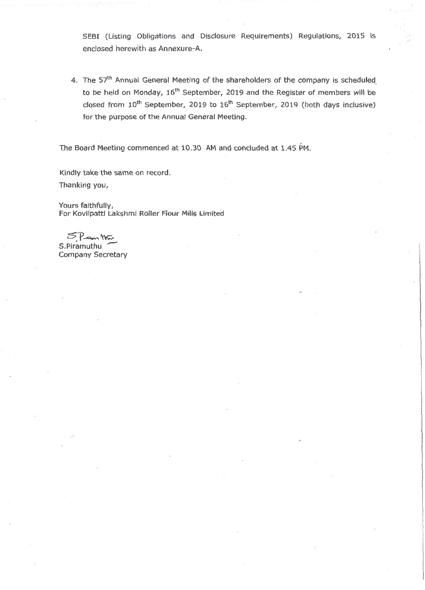SEBI (Listing Obligations and Disclosure Requirements) Regulations, 2015 is enclosed herewith as Annexure-A.

4. The 57<sup>th</sup> Annual General Meeting of the shareholders of the company is scheduled to be held on Monday, 16<sup>th</sup> September, 2019 and the Register of members will be closed from  $10^{th}$  September, 2019 to  $16^{th}$  September, 2019 (both days inclusive) for the purpose of the Annual General Meeting.

The Board Meeting commenced at 10.30 AM and concluded at 1.45 PM.

Kindly take the same on record. Thanking you,

Yours faithfully, For Kovilpatti Lakshmi Roller Flour Mills Limited

 $SP<sub>cm</sub>$  m Company Secretary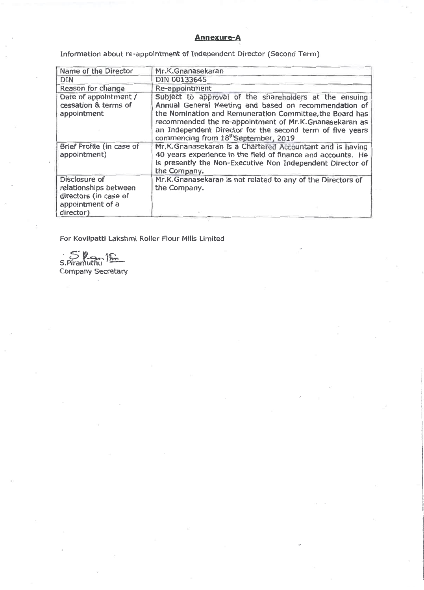## Annexure-A

Information about re-appointment of Independent Director (Second Term)

| Name of the Director                                                                             | Mr.K.Gnanasekaran                                                                                                                                                                                                                                                                                                                                      |
|--------------------------------------------------------------------------------------------------|--------------------------------------------------------------------------------------------------------------------------------------------------------------------------------------------------------------------------------------------------------------------------------------------------------------------------------------------------------|
| <b>DIN</b>                                                                                       | DIN 00133645                                                                                                                                                                                                                                                                                                                                           |
| Reason for change                                                                                | Re-appointment                                                                                                                                                                                                                                                                                                                                         |
| Date of appointment /<br>cessation & terms of<br>appointment                                     | Subject to approval of the shareholders at the ensuing<br>Annual General Meeting and based on recommendation of<br>the Nomination and Remuneration Committee, the Board has<br>recommended the re-appointment of Mr.K.Gnanasekaran as<br>an Independent Director for the second term of five years<br>commencing from 18 <sup>th</sup> September, 2019 |
| Brief Profile (in case of<br>appointment)                                                        | Mr.K.Gnanasekaran is a Chartered Accountant and is having<br>40 years experience in the field of finance and accounts. He<br>is presently the Non-Executive Non Independent Director of<br>the Company.                                                                                                                                                |
| Disclosure of<br>relationships between<br>directors (in case of<br>appointment of a<br>director) | Mr.K.Gnanasekaran is not related to any of the Directors of<br>the Company.                                                                                                                                                                                                                                                                            |

For Kovilpatti Lakshmi Roller Flour Mills Limited

S.Piramuthu Company Secretary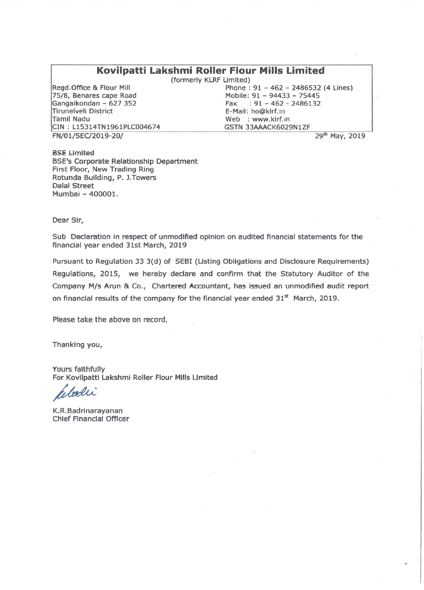# Kovilpatti Lakshmi Roller Flour Mills Limited

(formerly KLRF Limited)

Regd.Office & Flour Mill 75/8, Benares cape Road Gangaikondan - 627 352 Tirunelveli District Tamil Nadu CIN : L15314TN1961PLC004674 FN/01/SEC/2019-20/

Phone : 91 - 462 - 2486532 (4 Lines) Mobile: 91 - 94433 - 75445 Fax :  $91 - 462 - 2486132$ E-Mail: ho@klrf.in Web : www.kirf.in GSTN 33AAACK6029N1ZF

BSE Limited BSE's Corporate Relationship Department First Floor, New Trading Ring Rotunda Building, P. ).Towers Dalai Street Mumbai - 400001.

29<sup>th</sup> May, 2019

Dear Sir,

Sub Declaration in respect of unmodified opinion on audited financial statements for the financial year ended 31st March, 2019

Pursuant to Regulation 33 3(d) of SEBI (Listing Obligations and Disclosure Requirements) Regulations, 2015, we hereby declare and confirm that the Statutory Auditor of the Company M/s Arun & Co., Chartered Accountant, has issued an unmodified audit report on financial results of the company for the financial year ended 31<sup>st</sup> March, 2019.

Please take the above on record.

Thanking you,

Yours faithfully For Kovilpatti Lakshmi Roller Flour Mills Limited

Indi

K.R.Badrinarayanan Chief Financial Officer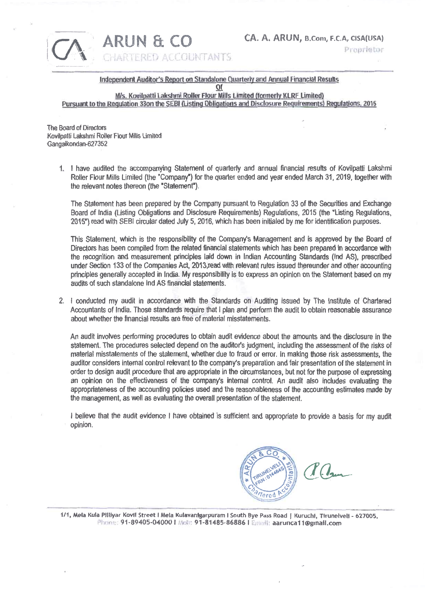ARUN & CO CA. A. ARUN, B.Com, F.C.A, CISA(USA)<br>CHARTERED ACCOUNTANTS



Independent Auditor's Report on Standalone Quarterly and Annual Financial Results

of

M/s. Kovilpatti Lakshmi Roller Flour Mills Limited (formerly KLRF Limited) Pursuant to the Regulation 33on the SEBI (Listing Obligations and Disclosure Requirements) Regulations, 2015

The Board of Directors Kovilpatti Lakshmi Roller Flour Mills Limited Gangaikondan-627352

> 1 I have audited the accompanying Statement of quarterly and annual financial results of Kovilpatti Lakshmi Roller Flour Mills Limited (the "Company") for the quarter ended and year ended March 31, 2019, together with the relevant notes thereon (the 'Statement')

The Statement has been prepared by the Company pursuant to Regulation 33 of the Securities and Exchange Board of India (Listing Obligations and Disclosure Requirements) Regulations, 2015 (the "Listing Regulations, 2015") read with SEBI circular dated July 5, 2016, which has been initialed by me for identification purposes.

This Statement, which is the responsibility of the Company's Management and is approved by the Board of Directors has been compiled from the related financial statements which has been prepared in accordance with the recognition and measurement principles laid down in Indian Accounting Standards (hid AS), prescribed under Section 133 of the Companies Act, 2013,read with relevant rules issued thereunder and other accounting principles generally accepted in India. My responsibility is to express an opinion on the Statement based on my audits of such standalone Ind AS financial statements.

2 I conducted my audit in accordance with the Standards on Auditing issued by The Institute of Chartered Accountants of India. Those standards require that I plan and perform the audit to obtain reasonable assurance about whether the financial results are free of material misstatements.

An audit involves performing procedures to obtain audit evidence about the amounts and the disclosure in the statement. The procedures selected depend on the auditor's judgment, including the assessment of the risks of material misstatements of the statement, whether due to fraud or error. In making those risk assessments, the auditor considers internal control relevant to the company's preparation and fair presentation of the statement in order to design audit procedure that are appropriate in the circumstances, but not for the purpose of expressing an opinion on the effectiveness of the company's internal control. An audit also includes evaluating the appropriateness of the accounting policies used and the reasonableness of the accounting estimates made by the management, as well as evaluating the overall presentation of the statement.

I believe that the audit evidence I have obtained is sufficient and appropriate to provide a basis for my audit opinion.



1/1, Mela Kula Pilliyar Kovil Street I Mela Kulavanigarpuram I South Bye Pass Road | Kuruchi, Tirunelveli - 627005. Phone: 91-89405-04000 1 Molz: 91-81485-86886 I Email: aarunca11@gmail.com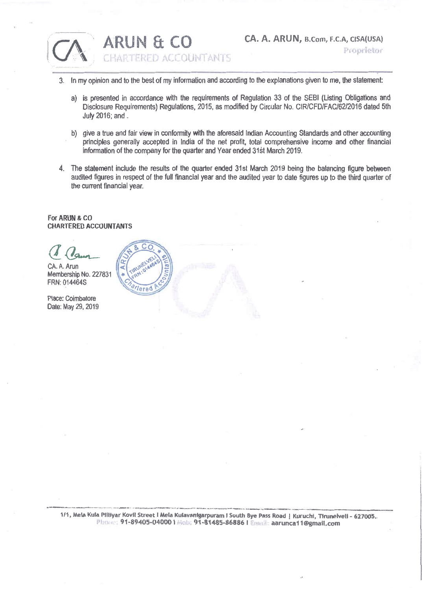

ARUN & CO<br>CHARTERED ACCOUNTANTS

- 3. In my opinion and to the best of my information and according to the explanations given to me, the statement:
	- a) is presented in accordance with the requirements of Regulation 33 of the SEBI (Listing Obligations and Disclosure Requirements) Regulations, 2015, as modified by Circular No. CIR/CFD/FAC/62/2016 dated 5th July 2016; and
	- b) give a true and fair view in conformity with the aforesaid Indian Accounting Standards and other accounting principles generally accepted in India of the net profit, total comprehensive income and other financial information of the company for the quarter and Year ended 31St March 2019.
- 4. The statement include the results of the quarter ended 31st March 2019 being the balancing figure between audited figures in respect of the full financial year and the audited year to date figures up to the third quarter of the current financial year

### For ARUN & CO CHARTERED ACCOUNTANTS



1/1, Mela Kula Piliiyar Kovil Street I Mela Kulavanigarpuram I South Bye Pass Road | Kuruchi, Tirunelveli - 627005.. Phone: 91-89405-04000 | Mob: 91-81485-86886 | Email: aarunca11@gmail.com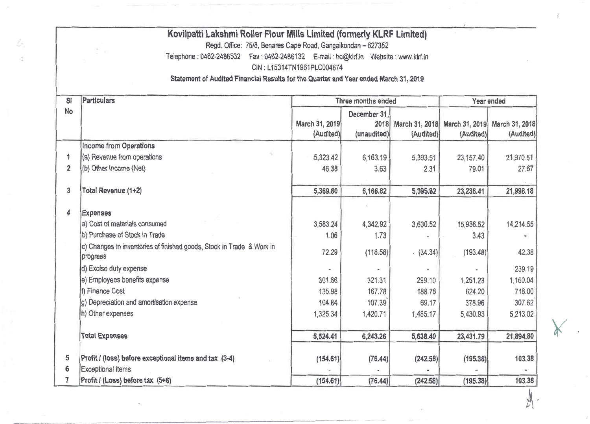|                | Kovilpatti Lakshmi Roller Flour Mills Limited (formerly KLRF Limited)                |                            |                          |                |                |                |  |
|----------------|--------------------------------------------------------------------------------------|----------------------------|--------------------------|----------------|----------------|----------------|--|
|                | Regd. Office: 75/8, Benares Cape Road, Gangaikondan - 627352<br>ž.                   |                            |                          |                |                |                |  |
|                | Telephone: 0462-2486532  Fax: 0462-2486132  E-mail: ho@kirf.in  Website: www.klrf.in |                            |                          |                |                |                |  |
|                |                                                                                      | CIN: L15314TN1961PLC004674 |                          |                |                |                |  |
|                | Statement of Audited Financial Results for the Quarter and Year ended March 31, 2019 |                            |                          |                |                |                |  |
| S <sub>l</sub> | <b>Particulars</b><br>Three months ended                                             |                            |                          |                |                | Year ended     |  |
| <b>No</b>      |                                                                                      | December 31,               |                          |                |                |                |  |
|                |                                                                                      | March 31, 2019             | 2018                     | March 31, 2018 | March 31, 2019 | March 31, 2018 |  |
|                |                                                                                      | (Audited)                  | (unaudited)              | (Audited)      | (Audited)      | (Audited)      |  |
|                | <b>Income from Operations</b>                                                        |                            |                          |                |                |                |  |
| 1              | (a) Revenue from operations                                                          | 5,323.42                   | 6,163.19                 | 5,393.51       | 23,157.40      | 21,970.51      |  |
| $\overline{2}$ | (b) Other Income (Net)                                                               | 46.38                      | 3.63                     | 2.31           | 79.01          | 27.67          |  |
| $\overline{3}$ | Total Revenue (1+2)                                                                  | 5,369.80                   | 6,166.82                 | 5,395.82       | 23,236.41      | 21,998.18      |  |
| 4              | <b>Expenses</b>                                                                      |                            |                          |                |                |                |  |
|                | a) Cost of materials consumed                                                        | 3,583.24                   | 4,342.92                 | 3,630.52       | 15,936.52      | 14,214.55      |  |
|                | b) Purchase of Stock in Trade                                                        | 1.06                       | 1.73                     |                | 3.43           |                |  |
|                | c) Changes in inventories of finished goods, Stock in Trade & Work in<br>progress    | 72.29                      | (118.58)                 | (34.34)        | (193.48)       | 42.38          |  |
|                | d) Excise duty expense                                                               |                            | $\overline{\phantom{a}}$ |                |                | 239.19         |  |
|                | e) Employees benefits expense                                                        | 301.66                     | 321.31                   | 299.10         | 1,251.23       | 1,160.04       |  |
|                | f) Finance Cost                                                                      | 135.98                     | 167.78                   | 188,78         | 624.20         | 718.00         |  |
|                | g) Depreciation and amortisation expense                                             | 104.84                     | 107.39                   | 69.17          | 378.96         | 307.62         |  |
|                | h) Other expenses                                                                    | 1,325.34                   | 1,420.71                 | 1,485.17       | 5,430.93       | 5,213.02       |  |
|                | <b>Total Expenses</b>                                                                | 5,524.41                   | 6,243.26                 | 5,638.40       | 23,431.79      | 21,894.80      |  |
| 5<br>6         | Profit / (loss) before exceptional items and tax (3-4)<br><b>Exceptional items</b>   | (154.61)                   | (76.44)                  | (242.58)       | (195.38)       | 103.38         |  |
| $\overline{7}$ | Profit / (Loss) before tax (5+6)                                                     | (154.61)                   | (76.44)                  | (242.58)       | (195.38)       | 103.38         |  |

 $\frac{1}{L}$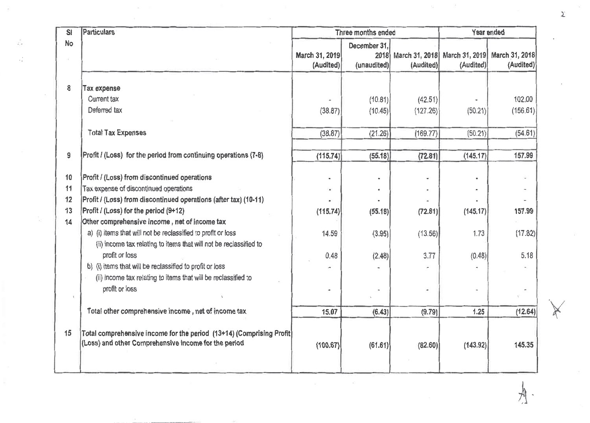| SI | <b>Particulars</b>                                                    | Three months ended          |                                     |                             | Year ended |                                            |  |
|----|-----------------------------------------------------------------------|-----------------------------|-------------------------------------|-----------------------------|------------|--------------------------------------------|--|
| No |                                                                       | March 31, 2019<br>(Audited) | December 31,<br>2018<br>(unaudited) | March 31, 2018<br>(Audited) | (Audited)  | March 31, 2019 March 31, 2018<br>(Audited) |  |
| 8  | <b>Tax expense</b>                                                    |                             |                                     |                             |            |                                            |  |
|    | Current tax                                                           |                             | (10.81)                             | (42.51)                     |            | 102.00                                     |  |
|    | Deferred tax                                                          | (38.87)                     | (10.45)                             | (127.26)                    | (50.21)    | (156.61)                                   |  |
|    |                                                                       |                             |                                     |                             |            |                                            |  |
|    | <b>Total Tax Expenses</b>                                             | (38.87)                     | (21.26)                             | (169.77)                    | (50.21)    | (54.61)                                    |  |
| 9  | Profit / (Loss) for the period from continuing operations (7-8)       | (115.74)                    | (55.18)                             | (72.81)                     | (145.17)   | 157.99                                     |  |
| 10 | Profit / (Loss) from discontinued operations                          |                             |                                     |                             |            |                                            |  |
| 11 | Tax expense of discontinued operations                                |                             |                                     |                             |            |                                            |  |
| 12 | Profit / (Loss) from discontinued operations (after tax) (10-11)      |                             |                                     |                             |            |                                            |  |
| 13 | Profit / (Loss) for the period (9+12)                                 | (115.74)                    | (55.18)                             | (72.81)                     | (145.17)   | 157.99                                     |  |
| 14 | Other comprehensive income, net of income tax                         |                             |                                     |                             |            |                                            |  |
|    | a) (i) items that will not be reclassified to profit or loss          | 14.59                       | (3.95)                              | (13.56)                     | 1.73       | (17.82)                                    |  |
|    | (ii) income tax relating to items that will not be reclassified to    |                             |                                     |                             |            |                                            |  |
|    | profit or loss                                                        | 0.48                        | (2.48)                              | 3.77                        | (0.48)     | 5.18                                       |  |
|    | b) (i) items that will be reclassified to profit or loss              |                             |                                     |                             |            |                                            |  |
|    | (ii) income tax relating to items that will be reclassified to        |                             |                                     |                             |            |                                            |  |
|    | profit or loss                                                        | $\blacksquare$              |                                     | $\ddot{\phantom{a}}$        |            |                                            |  |
|    | Total other comprehensive income, net of income tax                   | 15.07                       | (6.43)                              | (9.79)                      | 1.25       | (12.64)                                    |  |
| 15 | Total comprehensive income for the period (13+14) (Comprising Profit) |                             |                                     |                             |            |                                            |  |
|    | (Loss) and other Comprehensive Income for the period                  | (100.67)                    | (61.61)                             | (82.60)                     | (143.92)   | 145.35                                     |  |
|    |                                                                       |                             |                                     |                             |            |                                            |  |

 $\label{eq:2.1} \frac{1}{2} \sum_{i=1}^n \frac{1}{2} \sum_{j=1}^n \frac{1}{2} \sum_{j=1}^n \frac{1}{2} \sum_{j=1}^n \frac{1}{2} \sum_{j=1}^n \frac{1}{2} \sum_{j=1}^n \frac{1}{2} \sum_{j=1}^n \frac{1}{2} \sum_{j=1}^n \frac{1}{2} \sum_{j=1}^n \frac{1}{2} \sum_{j=1}^n \frac{1}{2} \sum_{j=1}^n \frac{1}{2} \sum_{j=1}^n \frac{1}{2} \sum_{j=1}^n \frac{$ 

 $\sim$ 

 $\mathcal{Z}^{\mathcal{C}}$ 

J.

 $\mathcal{A}$  .

 $\langle \bar{w} \rangle$ 

 $u=-\pi$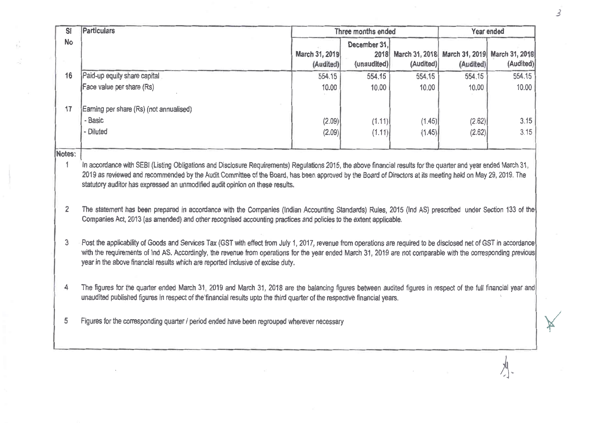| S <sub>1</sub>           | Particulars                                                                                                                                                                                                                                                                                                                                                                                                                                                                                                                                                                | Three months ended<br>Year ended |              |           |                                              |           |
|--------------------------|----------------------------------------------------------------------------------------------------------------------------------------------------------------------------------------------------------------------------------------------------------------------------------------------------------------------------------------------------------------------------------------------------------------------------------------------------------------------------------------------------------------------------------------------------------------------------|----------------------------------|--------------|-----------|----------------------------------------------|-----------|
| <b>No</b>                |                                                                                                                                                                                                                                                                                                                                                                                                                                                                                                                                                                            |                                  | December 31, |           |                                              |           |
|                          |                                                                                                                                                                                                                                                                                                                                                                                                                                                                                                                                                                            | March 31, 2019                   | 2018         |           | March 31, 2018 March 31, 2019 March 31, 2018 |           |
|                          |                                                                                                                                                                                                                                                                                                                                                                                                                                                                                                                                                                            | (Audited)                        | (unaudited)  | (Audited) | (Audited)                                    | (Audited) |
| 16                       | Paid-up equity share capital                                                                                                                                                                                                                                                                                                                                                                                                                                                                                                                                               | 554,15                           | 554.15       | 554.15    | 554.15                                       | 554.15    |
|                          | Face value per share (Rs)                                                                                                                                                                                                                                                                                                                                                                                                                                                                                                                                                  | 10,00                            | 10.00        | 10.00     | 10,00                                        | 10.00     |
| 17                       | Earning per share (Rs) (not annualised)                                                                                                                                                                                                                                                                                                                                                                                                                                                                                                                                    |                                  |              |           |                                              |           |
|                          | - Basic                                                                                                                                                                                                                                                                                                                                                                                                                                                                                                                                                                    | (2.09)                           | (1.11)       | (1.45)    | (2.62)                                       | 3.15      |
|                          | - Diluted                                                                                                                                                                                                                                                                                                                                                                                                                                                                                                                                                                  | (2.09)                           | (1.11)       | (1.45)    | (2.62)                                       | 3,15      |
|                          |                                                                                                                                                                                                                                                                                                                                                                                                                                                                                                                                                                            |                                  |              |           |                                              |           |
| Notes:<br>$\overline{2}$ | In accordance with SEBI (Listing Obligations and Disclosure Requirements) Regulations 2015, the above financial results for the quarter and year ended March 31,<br>2019 as reviewed and recommended by the Audit Committee of the Board, has been approved by the Board of Directors at its meeting held on May 29, 2019. The<br>statutory auditor has expressed an unmodified audit opinion on these results.<br>The statement has been prepared in accordance with the Companies (Indian Accounting Standards) Rules, 2015 (Ind AS) prescribed under Section 133 of the |                                  |              |           |                                              |           |
|                          | Companies Act, 2013 (as amended) and other recognised accounting practices and policies to the extent applicable.                                                                                                                                                                                                                                                                                                                                                                                                                                                          |                                  |              |           |                                              |           |
| 3                        | Post the applicability of Goods and Services Tax (GST with effect from July 1, 2017, revenue from operations are required to be disclosed net of GST in accordance<br>with the requirements of Ind AS. Accordingly, the revenue from operations for the year ended March 31, 2019 are not comparable with the corresponding previous<br>year in the above financial results which are reported inclusive of excise duty,                                                                                                                                                   |                                  |              |           |                                              |           |
| 4                        | The figures for the quarter ended March 31, 2019 and March 31, 2018 are the balancing figures between audited figures in respect of the full financial year and<br>unaudited published figures in respect of the financial results upto the third quarter of the respective financial years.                                                                                                                                                                                                                                                                               |                                  |              |           |                                              |           |
| 5                        | Figures for the corresponding quarter / period ended have been regrouped wherever necessary                                                                                                                                                                                                                                                                                                                                                                                                                                                                                |                                  |              |           |                                              |           |

 $\tau$ 

 $\bar{\nu}$ 

 $\mathcal{Z}_{\mathcal{A}}$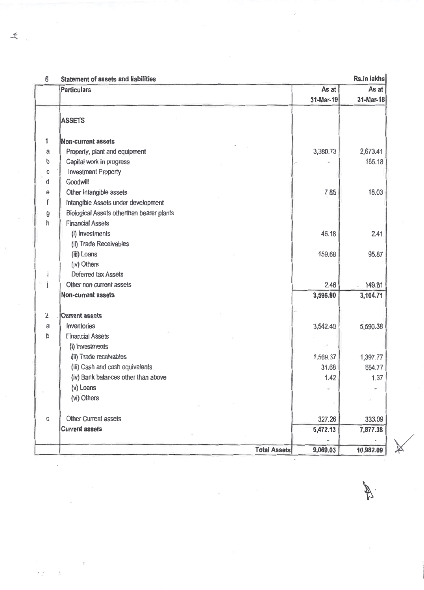| 6                       | <b>Statement of assets and liabilities</b> |           | Rs.in lakhs |
|-------------------------|--------------------------------------------|-----------|-------------|
|                         | <b>Particulars</b>                         | As at     | As at       |
|                         |                                            | 31-Mar-19 | 31-Mar-18   |
|                         | <b>ASSETS</b>                              |           |             |
| 1                       | <b>Non-current assets</b>                  |           |             |
| a                       | Property, plant and equipment              | 3,380.73  | 2,673.41    |
| b                       | Capital work in progress                   |           | 165.18      |
| С                       | <b>Investment Property</b>                 |           |             |
| d                       | Goodwill                                   |           |             |
| e                       | Other Intangible assets                    | 7.85      | 18.03       |
| f                       | Intangible Assets under development        |           |             |
| ŷ                       | Biological Assets otherthan bearer plants  |           |             |
| ħ                       | <b>Financial Assets</b>                    |           |             |
|                         | (i) Investments                            | 46.18     | 2.41        |
|                         | (ii) Trade Receivables                     |           |             |
|                         | (iii) Loans                                | 159.68    | 95.87       |
|                         | (iv) Others                                |           |             |
| ÷                       | Deferred tax Assets                        |           |             |
| j                       | Other non current assets                   | 2.46      | 149.81      |
|                         | <b>Non-current assets</b>                  | 3,596.90  | 3,104.71    |
| $\overline{\mathbf{2}}$ | <b>Current assets</b>                      |           |             |
| a                       | Inventories                                | 3,542.40  | 5,590.38    |
| b                       | <b>Financial Assets</b>                    |           |             |
|                         | (i) Investments                            |           |             |
|                         | (ii) Trade receivables                     | 1,569.37  | 1,397.77    |
|                         | (iii) Cash and cash equivalents            | 31.68     | 554.77      |
|                         | (iv) Bank balances other than above        | 1,42      | 1.37        |
|                         | (v) Loans                                  |           |             |
|                         | (vi) Others                                |           |             |
| C                       | Other Current assets                       | 327.26    | 333.09      |
|                         | <b>Current assets</b>                      | 5,472.13  | 7,877.38    |
|                         |                                            |           |             |
|                         | <b>Total Assets</b>                        | 9,069.03  | 10,982.09   |

and the state of the

 $\mathbf{t}$ 

 $\sim 10^{10}$ 

 $\bar{z}$ 

×y il

 $\bar{z}$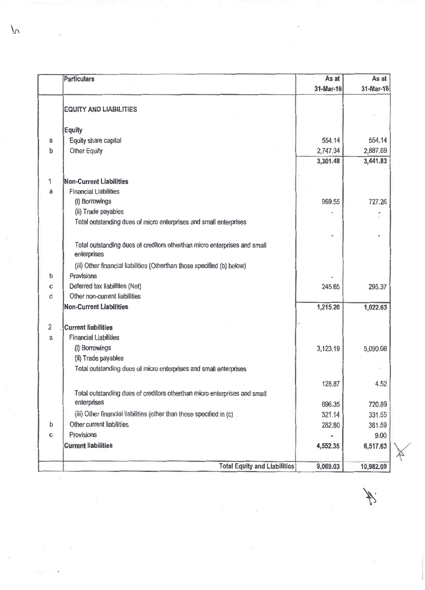|                | <b>Particulars</b>                                                                       | As at     | As at     |
|----------------|------------------------------------------------------------------------------------------|-----------|-----------|
|                |                                                                                          | 31-Mar-19 | 31-Mar-18 |
|                | <b>EQUITY AND LIABILITIES</b>                                                            |           |           |
|                |                                                                                          |           |           |
|                | <b>Equity</b>                                                                            |           |           |
| a              | Equity share capital                                                                     | 554.14    | 554.14    |
| b              | <b>Other Equity</b>                                                                      | 2,747.34  | 2,887.69  |
|                |                                                                                          | 3,301.48  | 3,441.83  |
| 1              | <b>Non-Current Liabilities</b>                                                           |           |           |
| a              | <b>Financial Liabilities</b>                                                             |           |           |
|                | (i) Borrowings                                                                           | 969.55    | 727.26    |
|                | (ii) Trade payables                                                                      |           |           |
|                | Total outstanding dues of micro enterprises and small enterprises                        |           |           |
|                |                                                                                          |           |           |
|                |                                                                                          |           |           |
|                | Total outstanding dues of creditors otherthan micro enterprises and small<br>enterprises |           |           |
|                | (iii) Other financial liabilities (Otherthan those specified (b) below)                  |           |           |
| b              | Provisions                                                                               |           |           |
| с              | Deferred tax liabilities (Net)                                                           | 245.65    | 295.37    |
| d              | Other non-current liabilities                                                            |           |           |
|                | <b>Non-Current Liabilities</b>                                                           | 1,215.20  | 1,022.63  |
| $\overline{2}$ | <b>Current liabilities</b>                                                               |           |           |
| a              | <b>Financial Liabilities</b>                                                             |           |           |
|                | (i) Borrowings                                                                           | 3,123.19  | 5,090,08  |
|                | (ii) Trade payables                                                                      |           |           |
|                | Total outstanding dues of micro enterprises and small enterprises                        |           |           |
|                |                                                                                          |           |           |
|                |                                                                                          | 128.87    | 4.52      |
|                | Total outstanding dues of creditors otherthan micro enterprises and small                |           |           |
|                | enterprises                                                                              | 696,35    | 720.89    |
|                | (iii) Other financial liabilities (other than those specified in (c)                     | 321.14    | 331.55    |
| $\mathfrak b$  | Other current liabilities                                                                | 282.80    | 361.59    |
| C              | Provisions                                                                               |           | 9.00      |
|                | <b>Current liabilities</b>                                                               | 4,552.35  | 6,517.63  |
|                |                                                                                          |           |           |
|                | <b>Total Equity and Liabilities</b>                                                      | 9,069.03  | 10,982.09 |

 $\hat{\mathcal{C}}$ 

 $\tilde{\nu}_i$ 

 $\sim$   $\alpha$ 

 $\mathbb{Z}$ 

 $\overline{P}$